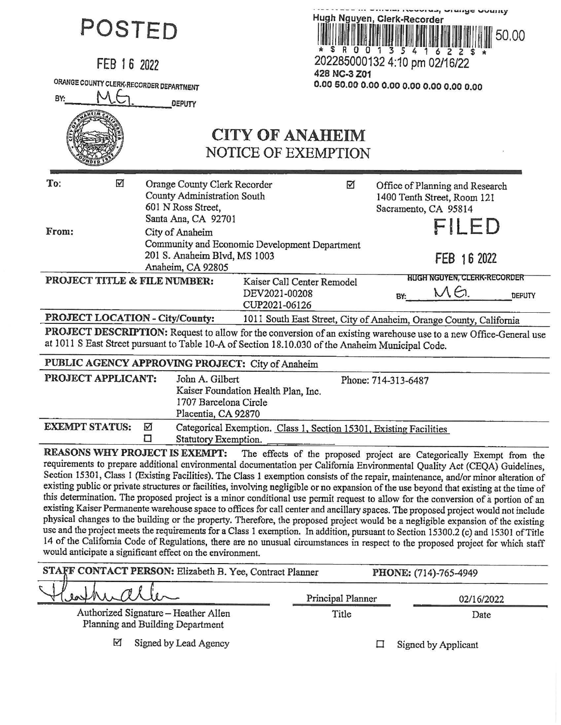| POSTED<br>FEB 16 2022<br>ORANGE COUNTY CLERK-RECORDER DEPARTMENT<br>BY:                                                                                                                                               | <b>DEPUTY</b>                                                                                                                                                                       | 428 NC-3 Z01<br><b>CITY OF ANAHEIM</b><br>NOTICE OF EXEMPTION      | Hugh Nguyen, Clerk-Recorder<br>* \$ R 0 0 1 3 5 4 1 6 2 2 \$<br>202285000132 4:10 pm 02/16/22 | <b>HER HARAGE AIRING AND IN</b><br>50.00                                                                                                                                                                                                                                                                                                                                                                                                                                                                                                                                                                                                                                                                                                                                                                                                                                                                                                                                                                                                                                                                                                                                         |  |
|-----------------------------------------------------------------------------------------------------------------------------------------------------------------------------------------------------------------------|-------------------------------------------------------------------------------------------------------------------------------------------------------------------------------------|--------------------------------------------------------------------|-----------------------------------------------------------------------------------------------|----------------------------------------------------------------------------------------------------------------------------------------------------------------------------------------------------------------------------------------------------------------------------------------------------------------------------------------------------------------------------------------------------------------------------------------------------------------------------------------------------------------------------------------------------------------------------------------------------------------------------------------------------------------------------------------------------------------------------------------------------------------------------------------------------------------------------------------------------------------------------------------------------------------------------------------------------------------------------------------------------------------------------------------------------------------------------------------------------------------------------------------------------------------------------------|--|
| ☑<br>To:<br>From:                                                                                                                                                                                                     | Orange County Clerk Recorder<br><b>County Administration South</b><br>601 N Ross Street,<br>Santa Ana, CA 92701<br>City of Anaheim<br>Community and Economic Development Department | ☑                                                                  |                                                                                               | Office of Planning and Research<br>1400 Tenth Street, Room 121<br>Sacramento, CA 95814<br><b>FILED</b>                                                                                                                                                                                                                                                                                                                                                                                                                                                                                                                                                                                                                                                                                                                                                                                                                                                                                                                                                                                                                                                                           |  |
|                                                                                                                                                                                                                       | 201 S. Anaheim Blvd, MS 1003                                                                                                                                                        |                                                                    |                                                                                               | FEB 16 2022                                                                                                                                                                                                                                                                                                                                                                                                                                                                                                                                                                                                                                                                                                                                                                                                                                                                                                                                                                                                                                                                                                                                                                      |  |
| PROJECT TITLE & FILE NUMBER:                                                                                                                                                                                          | Anaheim, CA 92805                                                                                                                                                                   | Kaiser Call Center Remodel<br>DEV2021-00208<br>CUP2021-06126       | BY:                                                                                           | <b>HUGH NGUYEN, CLERK-RECORDER</b><br>MG.<br><b>DEPUTY</b>                                                                                                                                                                                                                                                                                                                                                                                                                                                                                                                                                                                                                                                                                                                                                                                                                                                                                                                                                                                                                                                                                                                       |  |
| PROJECT LOCATION - City/County:                                                                                                                                                                                       |                                                                                                                                                                                     | 1011 South East Street, City of Anaheim, Orange County, California |                                                                                               |                                                                                                                                                                                                                                                                                                                                                                                                                                                                                                                                                                                                                                                                                                                                                                                                                                                                                                                                                                                                                                                                                                                                                                                  |  |
| PROJECT DESCRIPTION: Request to allow for the conversion of an existing warehouse use to a new Office-General use<br>at 1011 S East Street pursuant to Table 10-A of Section 18.10.030 of the Anaheim Municipal Code. |                                                                                                                                                                                     |                                                                    |                                                                                               |                                                                                                                                                                                                                                                                                                                                                                                                                                                                                                                                                                                                                                                                                                                                                                                                                                                                                                                                                                                                                                                                                                                                                                                  |  |
| PUBLIC AGENCY APPROVING PROJECT: City of Anaheim                                                                                                                                                                      |                                                                                                                                                                                     |                                                                    |                                                                                               |                                                                                                                                                                                                                                                                                                                                                                                                                                                                                                                                                                                                                                                                                                                                                                                                                                                                                                                                                                                                                                                                                                                                                                                  |  |
| PROJECT APPLICANT:                                                                                                                                                                                                    | John A. Gilbert<br>Kaiser Foundation Health Plan, Inc.<br>1707 Barcelona Circle<br>Placentia, CA 92870                                                                              |                                                                    | Phone: 714-313-6487                                                                           |                                                                                                                                                                                                                                                                                                                                                                                                                                                                                                                                                                                                                                                                                                                                                                                                                                                                                                                                                                                                                                                                                                                                                                                  |  |
| <b>EXEMPT STATUS:</b><br>☑<br>□                                                                                                                                                                                       | Statutory Exemption.                                                                                                                                                                | Categorical Exemption. Class 1, Section 15301, Existing Facilities |                                                                                               |                                                                                                                                                                                                                                                                                                                                                                                                                                                                                                                                                                                                                                                                                                                                                                                                                                                                                                                                                                                                                                                                                                                                                                                  |  |
| REASONS WHY PROJECT IS EXEMPT:<br>would anticipate a significant effect on the environment.                                                                                                                           |                                                                                                                                                                                     |                                                                    |                                                                                               | The effects of the proposed project are Categorically Exempt from the<br>requirements to prepare additional environmental documentation per California Environmental Quality Act (CEQA) Guidelines,<br>Section 15301, Class 1 (Existing Facilities). The Class 1 exemption consists of the repair, maintenance, and/or minor alteration of<br>existing public or private structures or facilities, involving negligible or no expansion of the use beyond that existing at the time of<br>this determination. The proposed project is a minor conditional use permit request to allow for the conversion of a portion of an<br>existing Kaiser Permanente warehouse space to offices for call center and ancillary spaces. The proposed project would not include<br>physical changes to the building or the property. Therefore, the proposed project would be a negligible expansion of the existing<br>use and the project meets the requirements for a Class 1 exemption. In addition, pursuant to Section 15300.2 (c) and 15301 of Title<br>14 of the California Code of Regulations, there are no unusual circumstances in respect to the proposed project for which staff |  |
| STAFF CONTACT PERSON: Elizabeth B. Yee, Contract Planner                                                                                                                                                              |                                                                                                                                                                                     |                                                                    | PHONE: (714)-765-4949                                                                         |                                                                                                                                                                                                                                                                                                                                                                                                                                                                                                                                                                                                                                                                                                                                                                                                                                                                                                                                                                                                                                                                                                                                                                                  |  |
|                                                                                                                                                                                                                       |                                                                                                                                                                                     | Principal Planner                                                  |                                                                                               | 02/16/2022                                                                                                                                                                                                                                                                                                                                                                                                                                                                                                                                                                                                                                                                                                                                                                                                                                                                                                                                                                                                                                                                                                                                                                       |  |
|                                                                                                                                                                                                                       | Authorized Signature - Heather Allen<br>Planning and Building Department                                                                                                            | Title                                                              |                                                                                               | Date                                                                                                                                                                                                                                                                                                                                                                                                                                                                                                                                                                                                                                                                                                                                                                                                                                                                                                                                                                                                                                                                                                                                                                             |  |
| ☑                                                                                                                                                                                                                     | Signed by Lead Agency                                                                                                                                                               |                                                                    | 口                                                                                             | Signed by Applicant                                                                                                                                                                                                                                                                                                                                                                                                                                                                                                                                                                                                                                                                                                                                                                                                                                                                                                                                                                                                                                                                                                                                                              |  |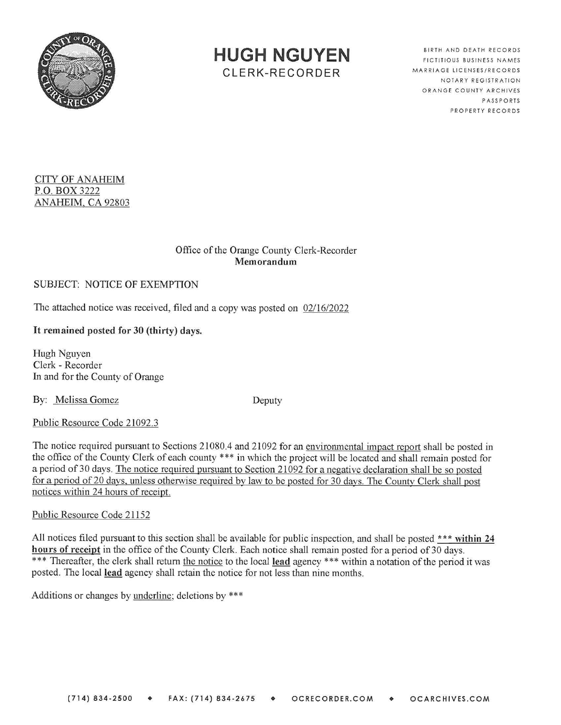

**HUGH NGUYEN**  CLERK-RECORDER

BIRTH AND DEATH RECORDS FICTITIOUS BUSINESS NAMES MARRIAGE LICENSES/RECORDS NOTARY REGISTRA TION ORANGE COUNTY ARCHIVES PASSPORTS PROPERTY RECORDS

#### **CITY OF ANAHEIM P.O. BOX** 3222 **ANAHEIM, CA** 92803

### Office of the Orange County Clerk-Recorder **Memorandum**

# SUBJECT: NOTICE OF EXEMPTION

The attached notice was received, filed and a copy was posted on  $02/16/2022$ 

# It **remained posted for 30 (thirty) days.**

Hugh Nguyen Clerk - Recorder In and for the County of Orange

By: Melissa Gomez Deputy

Public Resource Code 21092.3

The notice required pursuant to Sections 21080.4 and 21092 for an environmental impact report shall be posted in the office of the County Clerk of each county \*\*\* in which the project will be located and shall remain posted for a period of 30 days. The notice required pursuant to Section 21092 for a negative declaration shall be so posted for a period of 20 davs. unless otherwise required by law to be posted for 30 days. The Countv Clerk shall post notices within 24 hours of receipt.

### Public Resource Code 21152

All notices filed pursuant to this section shall be available for public inspection, and shall be posted \* \* \* **within 24 hours of receipt** in the office of the County Clerk. Each notice shall remain posted for a period of 30 days. \*\*\* Thereafter, the clerk shall return the notice to the local lead agency \*\*\* within a notation of the period it was posted. The local **lead** agency shall retain the notice for not less than nine months.

Additions or changes by underline; deletions by \*\*\*